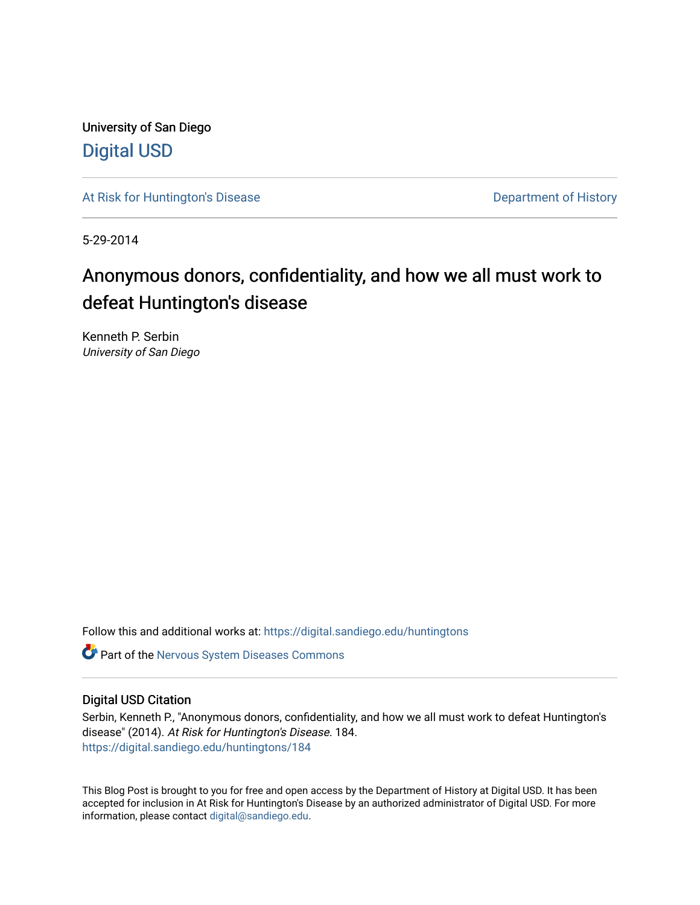University of San Diego [Digital USD](https://digital.sandiego.edu/)

[At Risk for Huntington's Disease](https://digital.sandiego.edu/huntingtons) **Department of History** Department of History

5-29-2014

# Anonymous donors, confidentiality, and how we all must work to defeat Huntington's disease

Kenneth P. Serbin University of San Diego

Follow this and additional works at: [https://digital.sandiego.edu/huntingtons](https://digital.sandiego.edu/huntingtons?utm_source=digital.sandiego.edu%2Fhuntingtons%2F184&utm_medium=PDF&utm_campaign=PDFCoverPages)

**C** Part of the [Nervous System Diseases Commons](http://network.bepress.com/hgg/discipline/928?utm_source=digital.sandiego.edu%2Fhuntingtons%2F184&utm_medium=PDF&utm_campaign=PDFCoverPages)

## Digital USD Citation

Serbin, Kenneth P., "Anonymous donors, confidentiality, and how we all must work to defeat Huntington's disease" (2014). At Risk for Huntington's Disease. 184. [https://digital.sandiego.edu/huntingtons/184](https://digital.sandiego.edu/huntingtons/184?utm_source=digital.sandiego.edu%2Fhuntingtons%2F184&utm_medium=PDF&utm_campaign=PDFCoverPages)

This Blog Post is brought to you for free and open access by the Department of History at Digital USD. It has been accepted for inclusion in At Risk for Huntington's Disease by an authorized administrator of Digital USD. For more information, please contact [digital@sandiego.edu.](mailto:digital@sandiego.edu)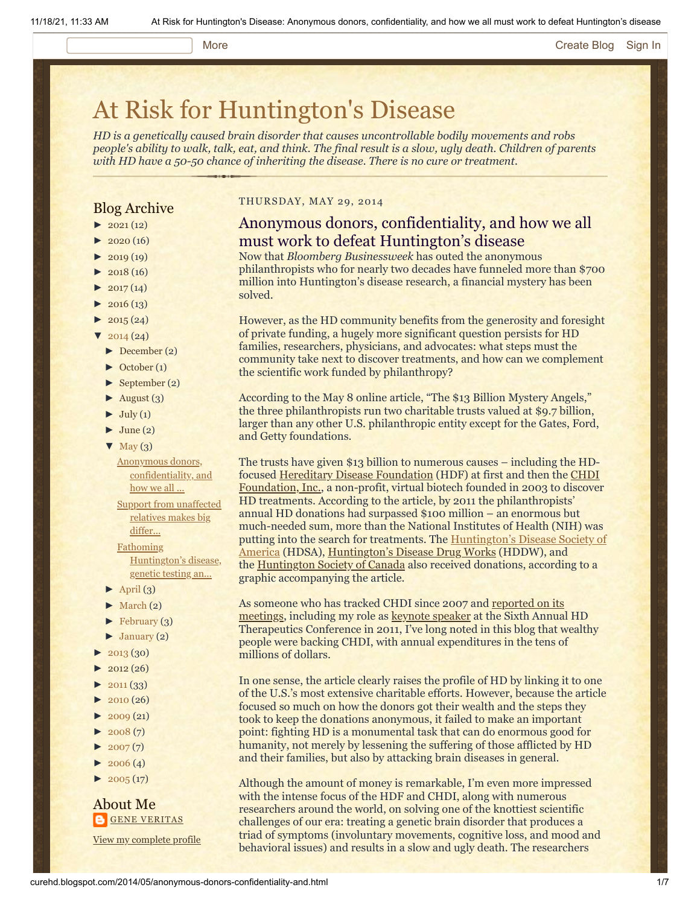#### More **[Create Blog](https://www.blogger.com/home#create) [Sign In](https://www.blogger.com/)**

# [At Risk for Huntington's Disease](http://curehd.blogspot.com/)

*HD is a genetically caused brain disorder that causes uncontrollable bodily movements and robs people's ability to walk, talk, eat, and think. The final result is a slow, ugly death. Children of parents with HD have a 50-50 chance of inheriting the disease. There is no cure or treatment.*

### Blog Archive

- $\blacktriangleright$  [2021](http://curehd.blogspot.com/2021/)(12)
- $2020(16)$  $2020(16)$
- $2019(19)$  $2019(19)$
- $\blacktriangleright$  [2018](http://curehd.blogspot.com/2018/) (16)
- $2017(14)$  $2017(14)$
- $2016(13)$  $2016(13)$
- $\blacktriangleright$  [2015](http://curehd.blogspot.com/2015/) (24)
- $\frac{2014(24)}{201}$  $\frac{2014(24)}{201}$  $\frac{2014(24)}{201}$
- [►](javascript:void(0)) [December](http://curehd.blogspot.com/2014/12/) (2)
- [►](javascript:void(0)) [October](http://curehd.blogspot.com/2014/10/) (1)
- [►](javascript:void(0)) [September](http://curehd.blogspot.com/2014/09/) (2)
- $\blacktriangleright$  [August](http://curehd.blogspot.com/2014/08/) (3)
- $\blacktriangleright$  [July](http://curehd.blogspot.com/2014/07/) (1)
- $\blacktriangleright$  [June](http://curehd.blogspot.com/2014/06/) (2)
- $\nabla$  [May](http://curehd.blogspot.com/2014/05/)  $(3)$ 
	- Anonymous donors, [confidentiality,](http://curehd.blogspot.com/2014/05/anonymous-donors-confidentiality-and.html) and how we all ...
- Support from [unaffected](http://curehd.blogspot.com/2014/05/support-from-unaffected-relatives-makes.html) relatives makes big differ... Fathoming [Huntington's](http://curehd.blogspot.com/2014/05/fathoming-huntingtons-disease-genetic.html) disease,
- genetic testing an...  $\blacktriangleright$  [April](http://curehd.blogspot.com/2014/04/) (3)
- 
- $\blacktriangleright$  [March](http://curehd.blogspot.com/2014/03/) (2)
- $\blacktriangleright$  [February](http://curehd.blogspot.com/2014/02/) (3)
- $\blacktriangleright$  [January](http://curehd.blogspot.com/2014/01/) (2)
- [►](javascript:void(0)) [2013](http://curehd.blogspot.com/2013/) (30)
- $2012(26)$  $2012(26)$
- $2011(33)$  $2011(33)$
- $\blacktriangleright$  [2010](http://curehd.blogspot.com/2010/) (26)
- $-2009(21)$  $-2009(21)$  $-2009(21)$
- $\blacktriangleright$  [2008](http://curehd.blogspot.com/2008/) $(7)$
- $2007(7)$  $2007(7)$
- $\blacktriangleright$  [2006](http://curehd.blogspot.com/2006/) (4)
- $\blacktriangleright$  [2005](http://curehd.blogspot.com/2005/) (17)

About Me **GENE [VERITAS](https://www.blogger.com/profile/10911736205741688185)** 

View my [complete](https://www.blogger.com/profile/10911736205741688185) profile

#### THURSDAY, MAY 29, 2014

# Anonymous donors, confidentiality, and how we all must work to defeat Huntington's disease

Now that *Bloomberg Businessweek* has outed the anonymous philanthropists who for nearly two decades have funneled more than \$700 million into Huntington's disease research, a financial mystery has been solved.

However, as the HD community benefits from the generosity and foresight of private funding, a hugely more significant question persists for HD families, researchers, physicians, and advocates: what steps must the community take next to discover treatments, and how can we complement the scientific work funded by philanthropy?

According to the May 8 online article, "The \$13 Billion Mystery Angels," the three philanthropists run two charitable trusts valued at \$9.7 billion, larger than any other U.S. philanthropic entity except for the Gates, Ford, and Getty foundations.

The trusts have given \$13 billion to numerous causes – including the HD[focused](http://chdifoundation.org/) [Hereditary Disease Foundation](http://www.hdfoundation.org/home.php) [\(HDF\) at first and then the CHDI](http://chdifoundation.org/) Foundation, Inc., a non-profit, virtual biotech founded in 2003 to discover HD treatments. According to the article, by 2011 the philanthropists' annual HD donations had surpassed \$100 million – an enormous but much-needed sum, more than the National Institutes of Health (NIH) was putting into the search for treatments. The Huntington's Disease Society of [America \(HDSA\), Huntington's Disease Drug Works \(HDDW\), and](http://www.hdsa.org/) the [Huntington Society of Canada](http://huntingtonsociety.ca/) also received donations, according to a graphic accompanying the article.

As someone who has tracked CHDI since 2007 and reported on its meetings, [including my role as keynote speaker at the Sixth Annua](http://www.curehd.blogspot.com/2014/03/its-really-getting-real-payoffs-in.html)l HD Therapeutics Conference in 2011, I've long noted in this blog that wealthy people were backing CHDI, with annual expenditures in the tens of millions of dollars.

In one sense, the article clearly raises the profile of HD by linking it to one of the U.S.'s most extensive charitable efforts. However, because the article focused so much on how the donors got their wealth and the steps they took to keep the donations anonymous, it failed to make an important point: fighting HD is a monumental task that can do enormous good for humanity, not merely by lessening the suffering of those afflicted by HD and their families, but also by attacking brain diseases in general.

Although the amount of money is remarkable, I'm even more impressed with the intense focus of the HDF and CHDI, along with numerous researchers around the world, on solving one of the knottiest scientific challenges of our era: treating a genetic brain disorder that produces a triad of symptoms (involuntary movements, cognitive loss, and mood and behavioral issues) and results in a slow and ugly death. The researchers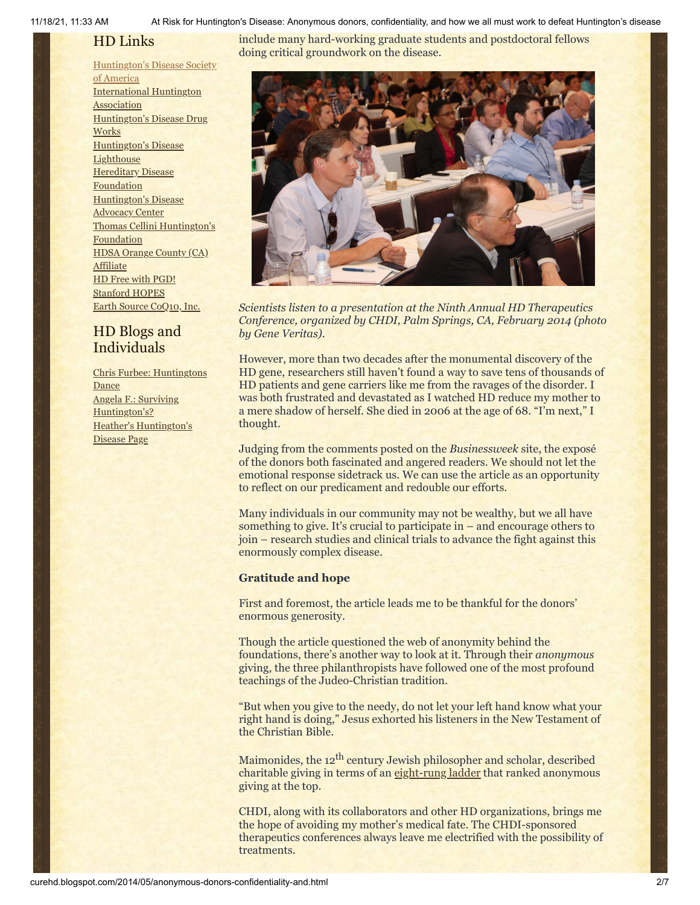11/18/21, 11:33 AM At Risk for Huntington's Disease: Anonymous donors, confidentiality, and how we all must work to defeat Huntington's disease

# HD Links

[Huntington's](http://www.hdsa.org/) Disease Society of America [International](http://www.huntington-assoc.com/) Huntington **Association** [Huntington's](http://hddrugworks.org/) Disease Drug **Works** [Huntington's](http://www.hdlighthouse.org/) Disease **Lighthouse Hereditary Disease [Foundation](http://www.hdfoundation.org/)** [Huntington's](http://www.hdac.org/) Disease Advocacy Center Thomas [Cellini Huntington's](http://www.ourtchfoundation.org/) **Foundation** HDSA Orange County (CA) **[Affiliate](http://www.hdsaoc.org/)** HD Free with [PGD!](http://www.hdfreewithpgd.com/) [Stanford](http://www.stanford.edu/group/hopes/) HOPES Earth Source [CoQ10,](http://www.escoq10.com/) Inc.

# HD Blogs and Individuals

Chris Furbee: [Huntingtons](http://www.huntingtonsdance.org/) **Dance** Angela F.: Surviving [Huntington's?](http://survivinghuntingtons.blogspot.com/) Heather's [Huntington's](http://heatherdugdale.angelfire.com/) Disease Page

include many hard-working graduate students and postdoctoral fellows doing critical groundwork on the disease.



*Scientists listen to a presentation at the Ninth Annual HD Therapeutics Conference, organized by CHDI, Palm Springs, CA, February 2014 (photo by Gene Veritas).*

However, more than two decades after the monumental discovery of the HD gene, researchers still haven't found a way to save tens of thousands of HD patients and gene carriers like me from the ravages of the disorder. I was both frustrated and devastated as I watched HD reduce my mother to a mere shadow of herself. She died in 2006 at the age of 68. "I'm next," I thought.

Judging from the comments posted on the *Businessweek* site, the exposé of the donors both fascinated and angered readers. We should not let the emotional response sidetrack us. We can use the article as an opportunity to reflect on our predicament and redouble our efforts.

Many individuals in our community may not be wealthy, but we all have something to give. It's crucial to participate in – and encourage others to join – research studies and clinical trials to advance the fight against this enormously complex disease.

### **Gratitude and hope**

First and foremost, the article leads me to be thankful for the donors' enormous generosity.

Though the article questioned the web of anonymity behind the foundations, there's another way to look at it. Through their *anonymous* giving, the three philanthropists have followed one of the most profound teachings of the Judeo-Christian tradition.

"But when you give to the needy, do not let your left hand know what your right hand is doing," Jesus exhorted his listeners in the New Testament of the Christian Bible.

Maimonides, the 12<sup>th</sup> century Jewish philosopher and scholar, described charitable giving in terms of an [eight-rung ladder](http://www.charitywatch.org/articles/eightrungs.html) that ranked anonymous giving at the top.

CHDI, along with its collaborators and other HD organizations, brings me the hope of avoiding my mother's medical fate. The CHDI-sponsored therapeutics conferences always leave me electrified with the possibility of treatments.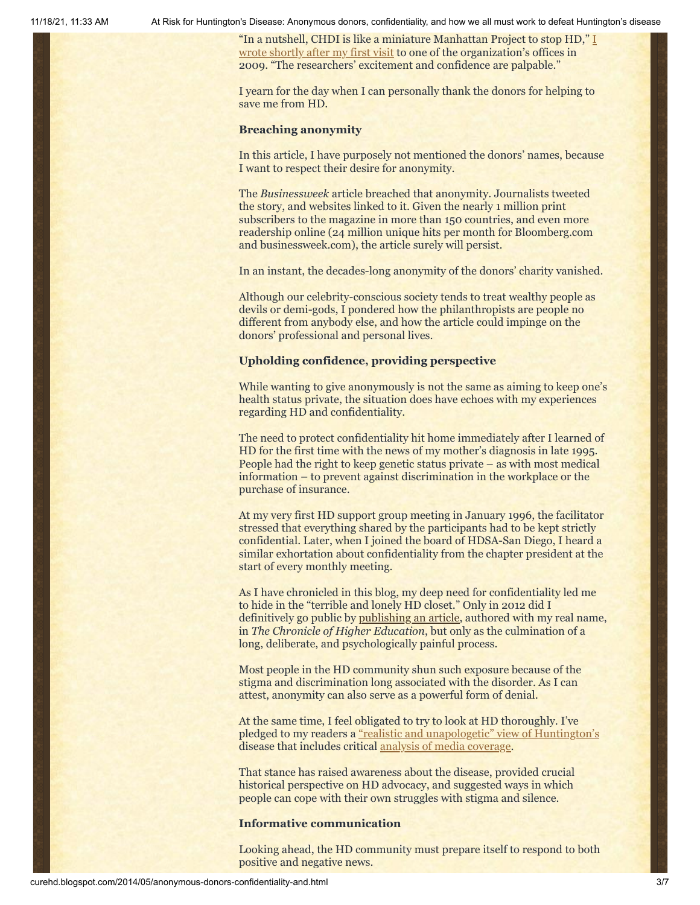11/18/21, 11:33 AM At Risk for Huntington's Disease: Anonymous donors, confidentiality, and how we all must work to defeat Huntington's disease

"In a nutshell, CHDI is like a miniature Manhattan Project to stop HD," I [wrote shortly after my first visit to one of the organization's offices in](http://curehd.blogspot.com/2009/10/creating-hope.html) 2009. "The researchers' excitement and confidence are palpable."

I yearn for the day when I can personally thank the donors for helping to save me from HD.

#### **Breaching anonymity**

In this article, I have purposely not mentioned the donors' names, because I want to respect their desire for anonymity.

The *Businessweek* article breached that anonymity. Journalists tweeted the story, and websites linked to it. Given the nearly 1 million print subscribers to the magazine in more than 150 countries, and even more readership online (24 million unique hits per month for Bloomberg.com and businessweek.com), the article surely will persist.

In an instant, the decades-long anonymity of the donors' charity vanished.

Although our celebrity-conscious society tends to treat wealthy people as devils or demi-gods, I pondered how the philanthropists are people no different from anybody else, and how the article could impinge on the donors' professional and personal lives.

#### **Upholding confidence, providing perspective**

While wanting to give anonymously is not the same as aiming to keep one's health status private, the situation does have echoes with my experiences regarding HD and confidentiality.

The need to protect confidentiality hit home immediately after I learned of HD for the first time with the news of my mother's diagnosis in late 1995. People had the right to keep genetic status private – as with most medical information – to prevent against discrimination in the workplace or the purchase of insurance.

At my very first HD support group meeting in January 1996, the facilitator stressed that everything shared by the participants had to be kept strictly confidential. Later, when I joined the board of HDSA-San Diego, I heard a similar exhortation about confidentiality from the chapter president at the start of every monthly meeting.

As I have chronicled in this blog, my deep need for confidentiality led me to hide in the "terrible and lonely HD closet." Only in 2012 did I definitively go public by [publishing an article](http://chronicle.com/article/Racing-Against-the-Genetic/135542), authored with my real name, in *The Chronicle of Higher Education*, but only as the culmination of a long, deliberate, and psychologically painful process.

Most people in the HD community shun such exposure because of the stigma and discrimination long associated with the disorder. As I can attest, anonymity can also serve as a powerful form of denial.

At the same time, I feel obligated to try to look at HD thoroughly. I've pledged to my readers a ["realistic and unapologetic" view of Huntington's](http://curehd.blogspot.com/2012/01/seven-years-of-striving-for-realistic.html) disease that includes critical [analysis of media coverage.](http://curehd.blogspot.com/2011/11/huntingtons-disease-in-news-and.html)

That stance has raised awareness about the disease, provided crucial historical perspective on HD advocacy, and suggested ways in which people can cope with their own struggles with stigma and silence.

#### **Informative communication**

Looking ahead, the HD community must prepare itself to respond to both positive and negative news.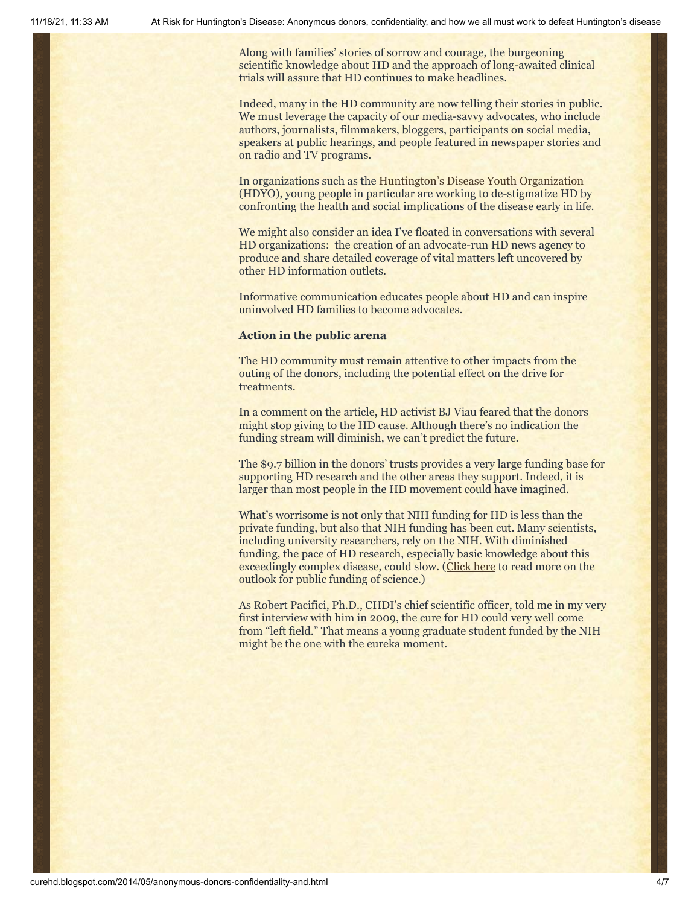Along with families' stories of sorrow and courage, the burgeoning scientific knowledge about HD and the approach of long-awaited clinical trials will assure that HD continues to make headlines.

Indeed, many in the HD community are now telling their stories in public. We must leverage the capacity of our media-savvy advocates, who include authors, journalists, filmmakers, bloggers, participants on social media, speakers at public hearings, and people featured in newspaper stories and on radio and TV programs.

In organizations such as the [Huntington's Disease Youth Organization](http://en.hdyo.org/) (HDYO), young people in particular are working to de-stigmatize HD by confronting the health and social implications of the disease early in life.

We might also consider an idea I've floated in conversations with several HD organizations: the creation of an advocate-run HD news agency to produce and share detailed coverage of vital matters left uncovered by other HD information outlets.

Informative communication educates people about HD and can inspire uninvolved HD families to become advocates.

#### **Action in the public arena**

The HD community must remain attentive to other impacts from the outing of the donors, including the potential effect on the drive for treatments.

In a comment on the article, HD activist BJ Viau feared that the donors might stop giving to the HD cause. Although there's no indication the funding stream will diminish, we can't predict the future.

The \$9.7 billion in the donors' trusts provides a very large funding base for supporting HD research and the other areas they support. Indeed, it is larger than most people in the HD movement could have imagined.

What's worrisome is not only that NIH funding for HD is less than the private funding, but also that NIH funding has been cut. Many scientists, including university researchers, rely on the NIH. With diminished funding, the pace of HD research, especially basic knowledge about this exceedingly complex disease, could slow. [\(Click here](http://www.slate.com/blogs/weigel/2014/05/07/the_first_bill_is_terrible_for_american_science_and_declining_research_funds.html) to read more on the outlook for public funding of science.)

As Robert Pacifici, Ph.D., CHDI's chief scientific officer, told me in my very first interview with him in 2009, the cure for HD could very well come from "left field." That means a young graduate student funded by the NIH might be the one with the eureka moment.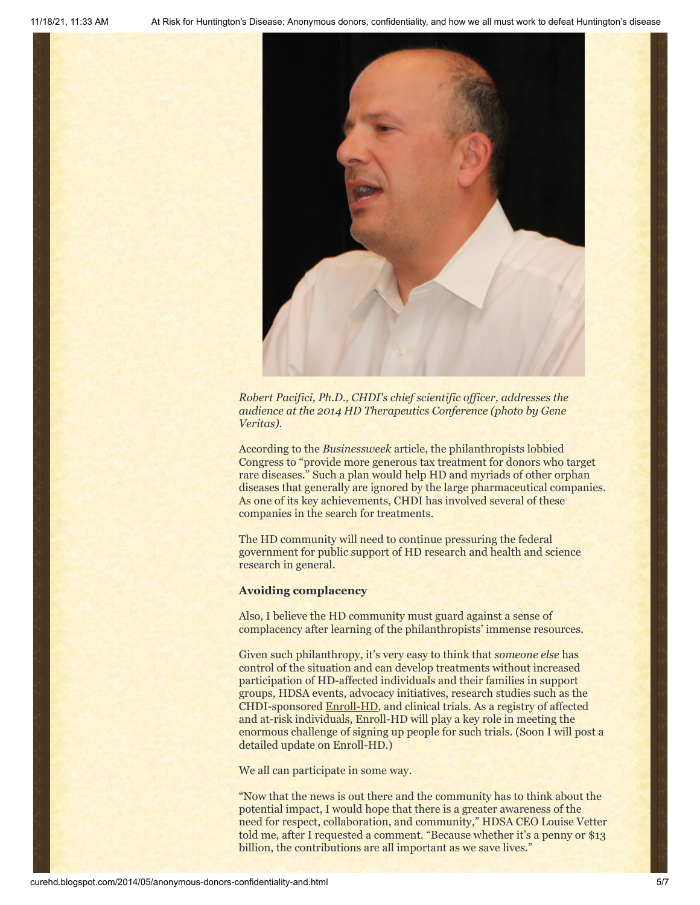

*Robert Pacifici, Ph.D., CHDI's chief scientific officer, addresses the audience at the 2014 HD Therapeutics Conference (photo by Gene Veritas).*

According to the *Businessweek* article, the philanthropists lobbied Congress to "provide more generous tax treatment for donors who target rare diseases." Such a plan would help HD and myriads of other orphan diseases that generally are ignored by the large pharmaceutical companies. As one of its key achievements, CHDI has involved several of these companies in the search for treatments.

The HD community will need to continue pressuring the federal government for public support of HD research and health and science research in general.

#### **Avoiding complacency**

Also, I believe the HD community must guard against a sense of complacency after learning of the philanthropists' immense resources.

Given such philanthropy, it's very easy to think that *someone else* has control of the situation and can develop treatments without increased participation of HD-affected individuals and their families in support groups, HDSA events, advocacy initiatives, research studies such as the CHDI-sponsored [Enroll-HD](http://www.enroll-hd.org/), and clinical trials. As a registry of affected and at-risk individuals, Enroll-HD will play a key role in meeting the enormous challenge of signing up people for such trials. (Soon I will post a detailed update on Enroll-HD.)

We all can participate in some way.

"Now that the news is out there and the community has to think about the potential impact, I would hope that there is a greater awareness of the need for respect, collaboration, and community," HDSA CEO Louise Vetter told me, after I requested a comment. "Because whether it's a penny or \$13 billion, the contributions are all important as we save lives."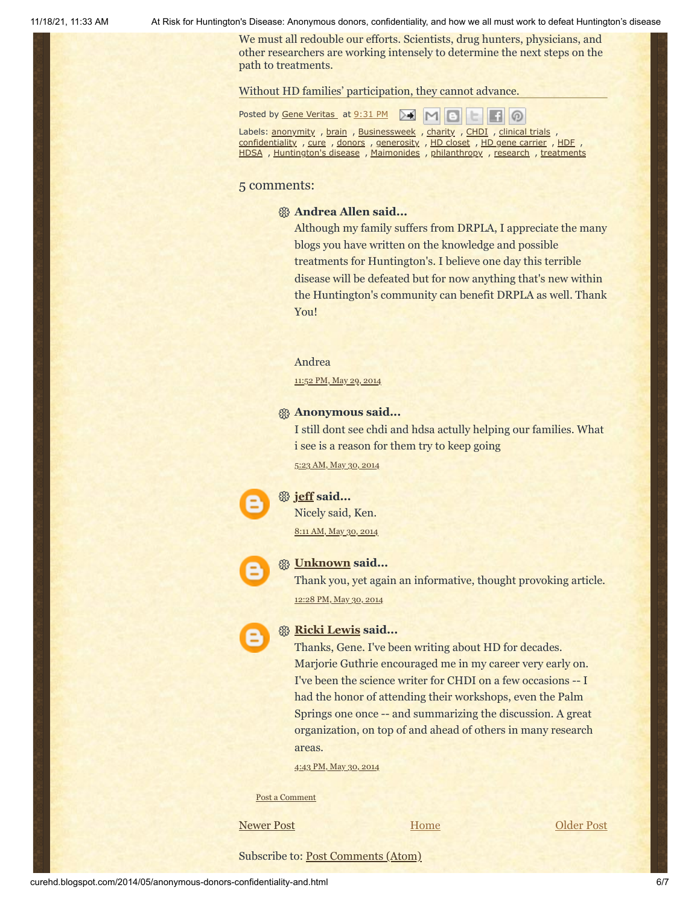11/18/21, 11:33 AM At Risk for Huntington's Disease: Anonymous donors, confidentiality, and how we all must work to defeat Huntington's disease

We must all redouble our efforts. Scientists, drug hunters, physicians, and other researchers are working intensely to determine the next steps on the path to treatments.

Without HD families' participation, they cannot advance.

Posted by Gene [Veritas](https://www.blogger.com/profile/03599828959793084715) at [9:31](http://curehd.blogspot.com/2014/05/anonymous-donors-confidentiality-and.html) PM  $\boxed{M}$  M  $\boldsymbol{\omega}$ 

Labels: **[anonymity](http://curehd.blogspot.com/search/label/anonymity)** , **[brain](http://curehd.blogspot.com/search/label/brain)** , **[Businessweek](http://curehd.blogspot.com/search/label/Businessweek)** , **[charity](http://curehd.blogspot.com/search/label/charity)** , **[CHDI](http://curehd.blogspot.com/search/label/CHDI)** , **[clinical](http://curehd.blogspot.com/search/label/clinical%20trials) trials** [confidentiality](http://curehd.blogspot.com/search/label/confidentiality) , [cure](http://curehd.blogspot.com/search/label/cure) , [donors](http://curehd.blogspot.com/search/label/donors) , [generosity](http://curehd.blogspot.com/search/label/generosity) , HD [closet](http://curehd.blogspot.com/search/label/HD%20closet) , HD gene [carrier](http://curehd.blogspot.com/search/label/HD%20gene%20carrier) , [HDF](http://curehd.blogspot.com/search/label/HDF) [HDSA](http://curehd.blogspot.com/search/label/HDSA), [Huntington's](http://curehd.blogspot.com/search/label/Huntington%27s%20disease) disease, [Maimonides](http://curehd.blogspot.com/search/label/Maimonides), [philanthropy](http://curehd.blogspot.com/search/label/philanthropy), [research](http://curehd.blogspot.com/search/label/research), [treatments](http://curehd.blogspot.com/search/label/treatments)

#### 5 comments:

#### **Andrea Allen said...**

Although my family suffers from DRPLA, I appreciate the many blogs you have written on the knowledge and possible treatments for Huntington's. I believe one day this terrible disease will be defeated but for now anything that's new within the Huntington's community can benefit DRPLA as well. Thank You!

Andrea

[11:52](http://curehd.blogspot.com/2014/05/anonymous-donors-confidentiality-and.html?showComment=1401432775914#c6136827843120630913) PM, May 29, 2014

### **Anonymous said...**

I still dont see chdi and hdsa actully helping our families. What i see is a reason for them try to keep going

5:23 AM, May 30, [2014](http://curehd.blogspot.com/2014/05/anonymous-donors-confidentiality-and.html?showComment=1401452588027#c7815910500640030846)

#### **[jeff](https://www.blogger.com/profile/04658183468736648120) said...**

Nicely said, Ken. 8:11 AM, May 30, [2014](http://curehd.blogspot.com/2014/05/anonymous-donors-confidentiality-and.html?showComment=1401462694832#c1312030127764388192)



#### **[Unknown](https://www.blogger.com/profile/00632093300925273518) said...**

Thank you, yet again an informative, thought provoking article. [12:28](http://curehd.blogspot.com/2014/05/anonymous-donors-confidentiality-and.html?showComment=1401478134263#c6186967225535212162) PM, May 30, 2014



#### **[Ricki Lewis](https://www.blogger.com/profile/08534278163705193351) said...**

Thanks, Gene. I've been writing about HD for decades. Marjorie Guthrie encouraged me in my career very early on. I've been the science writer for CHDI on a few occasions -- I had the honor of attending their workshops, even the Palm Springs one once -- and summarizing the discussion. A great organization, on top of and ahead of others in many research areas.

4:43 PM, May 30, [2014](http://curehd.blogspot.com/2014/05/anonymous-donors-confidentiality-and.html?showComment=1401493432057#c6722968316639271108)

Post a [Comment](https://www.blogger.com/comment.g?blogID=10081281&postID=4116265426903301895&isPopup=true)

[Newer Post](http://curehd.blogspot.com/2014/06/fear-of-onset-inescapable-reality-of.html) **COLLECT EXECUTE:** Home **[Older Post](http://curehd.blogspot.com/2014/05/support-from-unaffected-relatives-makes.html)** 

**[Home](http://curehd.blogspot.com/)** 

Subscribe to: [Post Comments \(Atom\)](http://curehd.blogspot.com/feeds/4116265426903301895/comments/default)